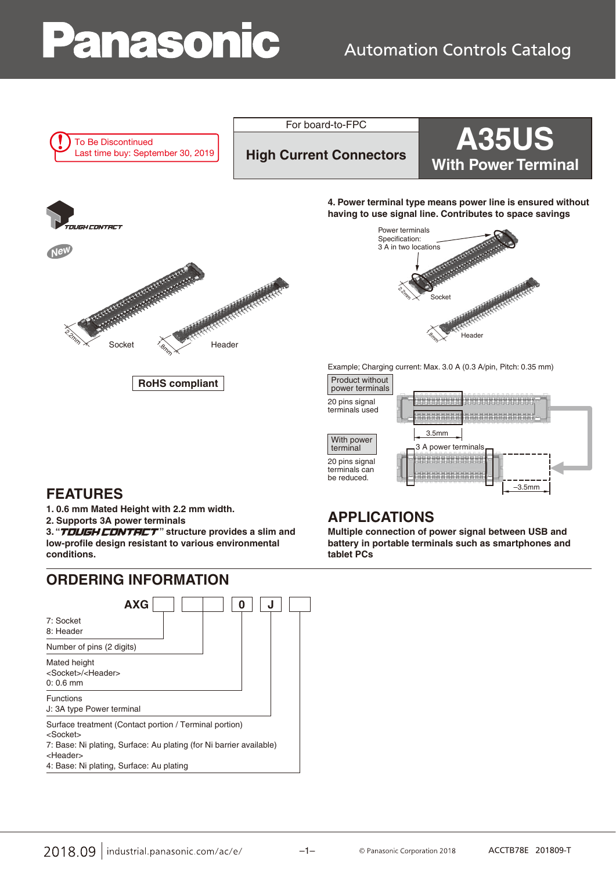# Panasonic

### **Automation Controls Catalog**



For board-to-FPC<br>High Current Connectors **A35US With Power Terminal** 



**4. Power terminal type means power line is ensured without having to use signal line. Contributes to space savings**



Example; Charging current: Max. 3.0 A (0.3 A/pin, Pitch: 0.35 mm)



### **FEATURES**

**1. 0.6 mm Mated Height with 2.2 mm width.**

**2. Supports 3A power terminals**

3. "TOUGH CONTRCT" structure provides a slim and **low-profile design resistant to various environmental conditions.**

### **ORDERING INFORMATION**



### **APPLICATIONS**

**Multiple connection of power signal between USB and battery in portable terminals such as smartphones and tablet PCs**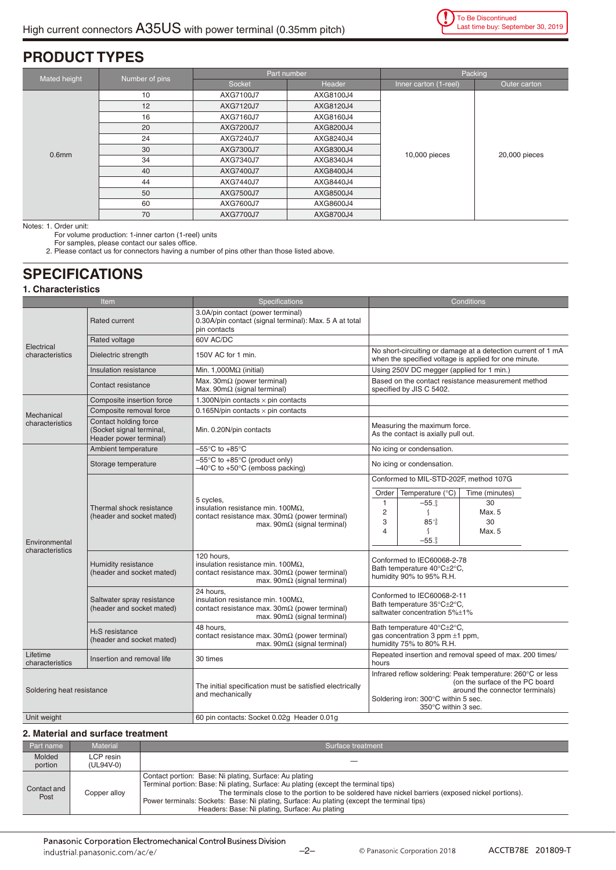### **PRODUCT TYPES**

| Mated height      | Number of pins | Part number      |           | Packing               |               |
|-------------------|----------------|------------------|-----------|-----------------------|---------------|
|                   |                | Socket           | Header    | Inner carton (1-reel) | Outer carton  |
|                   | 10             | AXG7100J7        | AXG8100J4 | 10,000 pieces         | 20,000 pieces |
|                   | 12             | AXG7120J7        | AXG8120J4 |                       |               |
|                   | 16             | AXG7160J7        | AXG8160J4 |                       |               |
|                   | 20             | AXG7200J7        | AXG8200J4 |                       |               |
|                   | 24             | AXG7240J7        | AXG8240J4 |                       |               |
| 0.6 <sub>mm</sub> | 30             | AXG7300J7        | AXG8300J4 |                       |               |
|                   | 34             | AXG7340J7        | AXG8340J4 |                       |               |
|                   | 40             | AXG7400J7        | AXG8400J4 |                       |               |
|                   | 44             | AXG7440J7        | AXG8440J4 |                       |               |
|                   | 50             | AXG7500J7        | AXG8500J4 |                       |               |
|                   | 60             | AXG7600J7        | AXG8600J4 |                       |               |
|                   | 70             | <b>AXG7700J7</b> | AXG8700J4 |                       |               |

Notes: 1. Order unit:

For volume production: 1-inner carton (1-reel) units

For samples, please contact our sales office.

2. Please contact us for connectors having a number of pins other than those listed above.

### **SPECIFICATIONS**

**1. Characteristics**

| Item                             |                                                                             | <b>Specifications</b>                                                                                                                                            | Conditions                                                                                                                                                                                                                                        |  |
|----------------------------------|-----------------------------------------------------------------------------|------------------------------------------------------------------------------------------------------------------------------------------------------------------|---------------------------------------------------------------------------------------------------------------------------------------------------------------------------------------------------------------------------------------------------|--|
|                                  | Rated current                                                               | 3.0A/pin contact (power terminal)<br>0.30A/pin contact (signal terminal): Max. 5 A at total<br>pin contacts                                                      |                                                                                                                                                                                                                                                   |  |
| Electrical<br>characteristics    | Rated voltage                                                               | 60V AC/DC                                                                                                                                                        |                                                                                                                                                                                                                                                   |  |
|                                  | Dielectric strength                                                         | 150V AC for 1 min.                                                                                                                                               | No short-circuiting or damage at a detection current of 1 mA<br>when the specified voltage is applied for one minute.                                                                                                                             |  |
|                                  | Insulation resistance                                                       | Min. 1,000 $M\Omega$ (initial)                                                                                                                                   | Using 250V DC megger (applied for 1 min.)                                                                                                                                                                                                         |  |
|                                  | Contact resistance                                                          | Max. $30m\Omega$ (power terminal)<br>Max. $90m\Omega$ (signal terminal)                                                                                          | Based on the contact resistance measurement method<br>specified by JIS C 5402.                                                                                                                                                                    |  |
|                                  | Composite insertion force                                                   | 1.300N/pin contacts $\times$ pin contacts                                                                                                                        |                                                                                                                                                                                                                                                   |  |
| Mechanical                       | Composite removal force                                                     | 0.165N/pin contacts $\times$ pin contacts                                                                                                                        |                                                                                                                                                                                                                                                   |  |
| characteristics                  | Contact holding force<br>(Socket signal terminal,<br>Header power terminal) | Min. 0.20N/pin contacts                                                                                                                                          | Measuring the maximum force.<br>As the contact is axially pull out.                                                                                                                                                                               |  |
|                                  | Ambient temperature                                                         | $-55^{\circ}$ C to $+85^{\circ}$ C                                                                                                                               | No icing or condensation.                                                                                                                                                                                                                         |  |
|                                  | Storage temperature                                                         | $-55^{\circ}$ C to $+85^{\circ}$ C (product only)<br>$-40^{\circ}$ C to +50 $^{\circ}$ C (emboss packing)                                                        | No icing or condensation.                                                                                                                                                                                                                         |  |
| Environmental<br>characteristics | Thermal shock resistance<br>(header and socket mated)                       | 5 cycles,<br>insulation resistance min. $100M\Omega$ ,<br>contact resistance max. $30m\Omega$ (power terminal)<br>max. $90m\Omega$ (signal terminal)             | Conformed to MIL-STD-202F, method 107G<br>Order<br>Temperature (°C)<br>Time (minutes)<br>$\mathbf{1}$<br>$-550_{3}$<br>30<br>$\overline{c}$<br>$\mathcal{L}_{\mathcal{L}}$<br>Max. 5<br>$85^{+3}$<br>3<br>30<br>4<br>$\zeta$<br>Max. 5<br>$-55.3$ |  |
|                                  | Humidity resistance<br>(header and socket mated)                            | 120 hours.<br>insulation resistance min. 100 $M\Omega$ .<br>contact resistance max. $30 \text{m}\Omega$ (power terminal)<br>max. 90mΩ (signal terminal)          | Conformed to IEC60068-2-78<br>Bath temperature 40°C±2°C,<br>humidity 90% to 95% R.H.                                                                                                                                                              |  |
|                                  | Saltwater spray resistance<br>(header and socket mated)                     | 24 hours.<br>insulation resistance min. 100Μ $Ω$ .<br>contact resistance max. $30 \text{m}\Omega$ (power terminal)<br>max. $90 \text{m}\Omega$ (signal terminal) | Conformed to IEC60068-2-11<br>Bath temperature 35°C±2°C,<br>saltwater concentration 5%±1%                                                                                                                                                         |  |
|                                  | H <sub>2</sub> S resistance<br>(header and socket mated)                    | 48 hours.<br>contact resistance max. $30 \text{m}\Omega$ (power terminal)<br>max. $90 \text{m}\Omega$ (signal terminal)                                          | Bath temperature 40°C±2°C,<br>gas concentration 3 ppm $\pm 1$ ppm,<br>humidity 75% to 80% R.H.                                                                                                                                                    |  |
| Lifetime<br>characteristics      | Insertion and removal life                                                  | 30 times                                                                                                                                                         | Repeated insertion and removal speed of max. 200 times/<br>hours                                                                                                                                                                                  |  |
| Soldering heat resistance        |                                                                             | The initial specification must be satisfied electrically<br>and mechanically                                                                                     | Infrared reflow soldering: Peak temperature: 260°C or less<br>(on the surface of the PC board<br>around the connector terminals)<br>Soldering iron: 300°C within 5 sec.<br>350°C within 3 sec.                                                    |  |
| Unit weight                      |                                                                             | 60 pin contacts: Socket 0.02g Header 0.01g                                                                                                                       |                                                                                                                                                                                                                                                   |  |

### **2. Material and surface treatment**

| Part name           | <b>Material</b>        | Surface treatment                                                                                                                                                                                                                                                                                                                                                                                 |
|---------------------|------------------------|---------------------------------------------------------------------------------------------------------------------------------------------------------------------------------------------------------------------------------------------------------------------------------------------------------------------------------------------------------------------------------------------------|
| Molded<br>portion   | LCP resin<br>(UL94V-0) |                                                                                                                                                                                                                                                                                                                                                                                                   |
| Contact and<br>Post | Copper alloy           | Contact portion: Base: Ni plating, Surface: Au plating<br>Terminal portion: Base: Ni plating, Surface: Au plating (except the terminal tips)<br>The terminals close to the portion to be soldered have nickel barriers (exposed nickel portions).<br>Power terminals: Sockets: Base: Ni plating, Surface: Au plating (except the terminal tips)<br>Headers: Base: Ni plating, Surface: Au plating |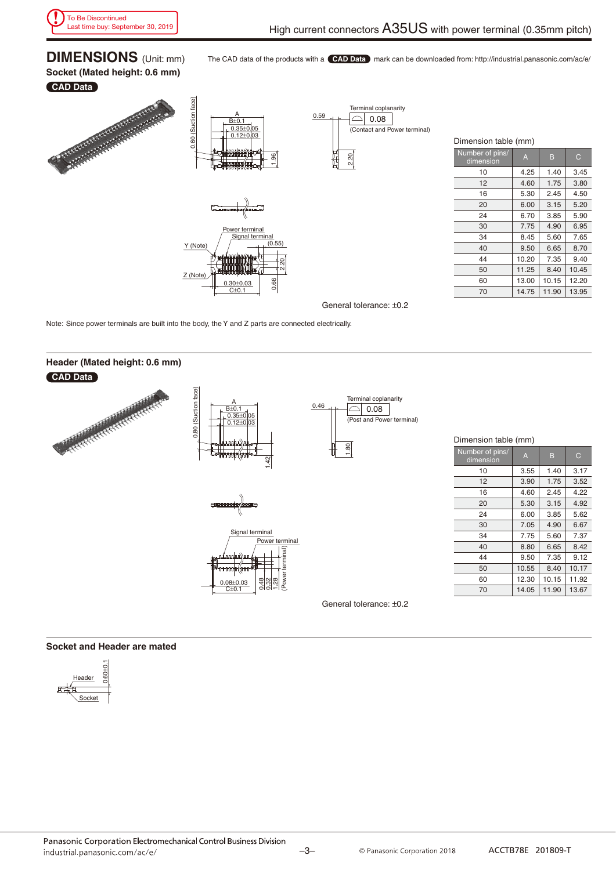**DIMENSIONS** (Unit: mm) **Socket (Mated height: 0.6 mm)**

The CAD data of the products with a **CAD Data** mark can be downloaded from: http://industrial.panasonic.com/ac/e/

### **CAD Data**







| 0.59 |      | Terminal coplanarity<br>0.08 |                              |
|------|------|------------------------------|------------------------------|
|      |      |                              | (Contact and Power terminal) |
|      | 2.20 |                              |                              |

| Dimension table (mm)         |       |       |       |  |  |  |
|------------------------------|-------|-------|-------|--|--|--|
| Number of pins/<br>dimension | Ā     | B     | C     |  |  |  |
| 10                           | 4.25  | 1.40  | 3.45  |  |  |  |
| 12                           | 4.60  | 1.75  | 3.80  |  |  |  |
| 16                           | 5.30  | 2.45  | 4.50  |  |  |  |
| 20                           | 6.00  | 3.15  | 5.20  |  |  |  |
| 24                           | 6.70  | 3.85  | 5.90  |  |  |  |
| 30                           | 7.75  | 4.90  | 6.95  |  |  |  |
| 34                           | 8.45  | 5.60  | 7.65  |  |  |  |
| 40                           | 9.50  | 6.65  | 8.70  |  |  |  |
| 44                           | 10.20 | 7.35  | 9.40  |  |  |  |
| 50                           | 11.25 | 8.40  | 10.45 |  |  |  |
| 60                           | 13.00 | 10.15 | 12.20 |  |  |  |
| 70                           | 14.75 | 11.90 | 13.95 |  |  |  |

10 3.55 1.40 3.17 12 3.90 1.75 3.52 16 4.60 2.45 4.22 20 5.30 3.15 4.92 24 6.00 3.85 5.62 30 7.05 4.90 6.67 34 7.75 5.60 7.37 40 8.80 6.65 8.42 44 9.50 7.35 9.12 50 10.55 8.40 10.17 60 12.30 10.15 11.92 70 14.05 11.90 13.67

General tolerance: ±0.2

Note: Since power terminals are built into the body, the Y and Z parts are connected electrically.



### **Socket and Header are mated**

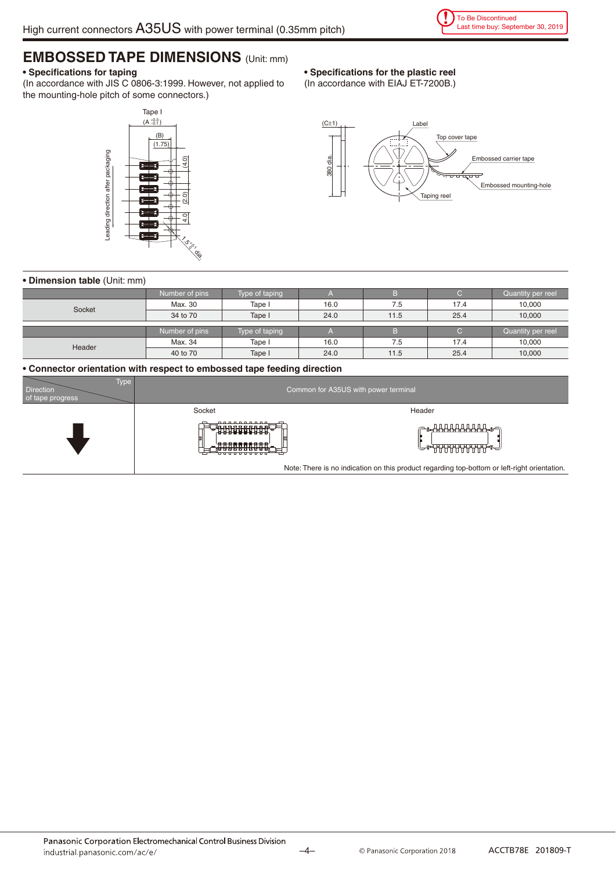### **EMBOSSED TAPE DIMENSIONS** (Unit: mm)

### **• Specifications for taping**

(In accordance with JIS C 0806-3:1999. However, not applied to the mounting-hole pitch of some connectors.)

### Tape I  $(A_{-0.1}^{+0.3})$ (B)  $(1.75)$ Leading direction after packaging Leading direction after packaging  $(2.0)$   $(4.0)$ 4.0  $\lesssim$ ,<br>0.,  $\mathcal{O}$ dia.

### **• Specifications for the plastic reel**

(In accordance with EIAJ ET-7200B.)



### **• Dimension table** (Unit: mm)

|        | Number of pins | Type of taping |      |      |      | Quantity per reel |
|--------|----------------|----------------|------|------|------|-------------------|
| Socket | Max. 30        | Tape I         | 16.0 | 7.5  | 17.4 | 10,000            |
|        | 34 to 70       | Tape I         | 24.0 | 11.5 | 25.4 | 10,000            |
|        |                |                |      |      |      |                   |
|        | Number of pins | Type of taping |      |      |      | Quantity per reel |
| Header | Max. 34        | Tape I         | 16.0 | 7.5  | 17.4 | 10,000            |
|        | 40 to 70       | Tape I         | 24.0 | 11.5 | 25.4 | 10,000            |

### **• Connector orientation with respect to embossed tape feeding direction**

| Type l<br><b>Direction</b><br>of tape progress | Common for A35US with power terminal   |                                                                                              |  |  |
|------------------------------------------------|----------------------------------------|----------------------------------------------------------------------------------------------|--|--|
|                                                | Socket                                 | Header                                                                                       |  |  |
|                                                | <u>.</u><br>· 法非法法法法法法法<br>8888888888. | ╔╍ <del>┪<u>╂╂╂╂╂╂╂╂╂╂</u></del><br><b><sub>ᡔ</sub>ᢧ</b> ᡆᠯᠯᠯᠯᠯᠯᠯᠯᠯᠯᠯᡏᠯᡏᡏᡏᡏᡏᡏᡏ               |  |  |
|                                                |                                        | Note: There is no indication on this product regarding top-bottom or left-right orientation. |  |  |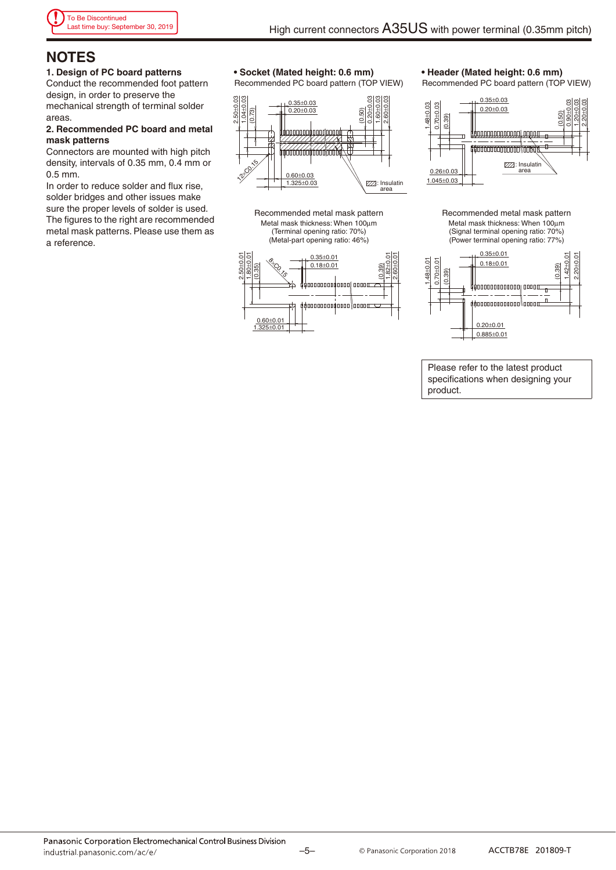### **NOTES**

#### **1. Design of PC board patterns**

Conduct the recommended foot pattern design, in order to preserve the mechanical strength of terminal solder areas.

### **2. Recommended PC board and metal mask patterns**

Connectors are mounted with high pitch density, intervals of 0.35 mm, 0.4 mm or 0.5 mm.

In order to reduce solder and flux rise, solder bridges and other issues make sure the proper levels of solder is used. The figures to the right are recommended metal mask patterns. Please use them as a reference.

### **• Socket (Mated height: 0.6 mm)**

Recommended PC board pattern (TOP VIEW)



Recommended metal mask pattern Metal mask thickness: When 100μm (Terminal opening ratio: 70%) (Metal-part opening ratio: 46%)



**• Header (Mated height: 0.6 mm)**

Recommended PC board pattern (TOP VIEW)



Recommended metal mask pattern Metal mask thickness: When 100μm (Signal terminal opening ratio: 70%) (Power terminal opening ratio: 77%)



Please refer to the latest product specifications when designing your product.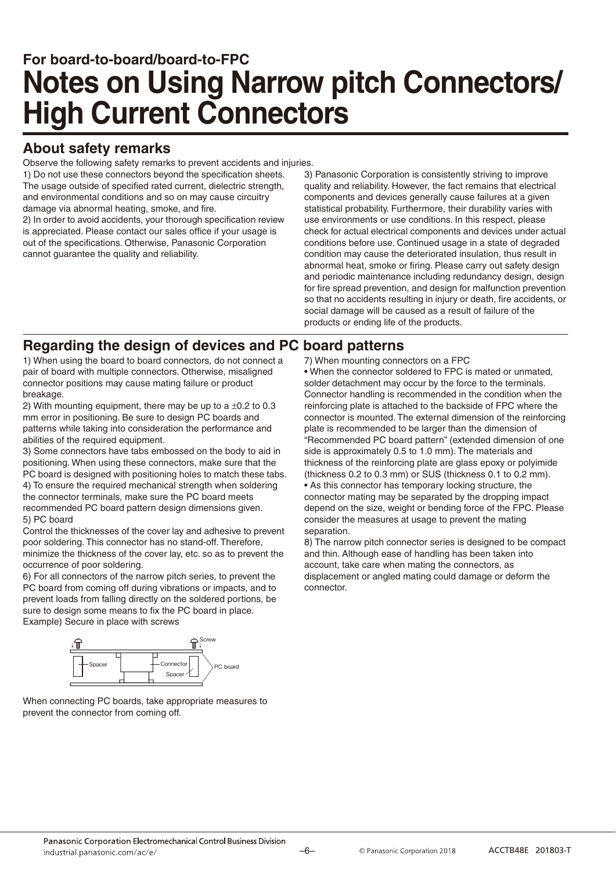### **For board-to-board/board-to-FPC Notes on Using Narrow pitch Connectors/ High Current Connectors**

### **About safety remarks**

Observe the following safety remarks to prevent accidents and injuries.

1) Do not use these connectors beyond the specification sheets. The usage outside of specified rated current, dielectric strength, and environmental conditions and so on may cause circuitry damage via abnormal heating, smoke, and fire.

2) In order to avoid accidents, your thorough specification review is appreciated. Please contact our sales office if your usage is out of the specifications. Otherwise, Panasonic Corporation cannot guarantee the quality and reliability.

3) Panasonic Corporation is consistently striving to improve quality and reliability. However, the fact remains that electrical components and devices generally cause failures at a given statistical probability. Furthermore, their durability varies with use environments or use conditions. In this respect, please check for actual electrical components and devices under actual conditions before use. Continued usage in a state of degraded condition may cause the deteriorated insulation, thus result in abnormal heat, smoke or firing. Please carry out safety design and periodic maintenance including redundancy design, design for fire spread prevention, and design for malfunction prevention so that no accidents resulting in injury or death, fire accidents, or social damage will be caused as a result of failure of the products or ending life of the products.

### **Regarding the design of devices and PC board patterns**

1) When using the board to board connectors, do not connect a pair of board with multiple connectors. Otherwise, misaligned connector positions may cause mating failure or product breakage.

2) With mounting equipment, there may be up to a  $\pm 0.2$  to 0.3 mm error in positioning. Be sure to design PC boards and patterns while taking into consideration the performance and abilities of the required equipment.

3) Some connectors have tabs embossed on the body to aid in positioning. When using these connectors, make sure that the PC board is designed with positioning holes to match these tabs. 4) To ensure the required mechanical strength when soldering the connector terminals, make sure the PC board meets recommended PC board pattern design dimensions given. 5) PC board

Control the thicknesses of the cover lay and adhesive to prevent poor soldering. This connector has no stand-off. Therefore, minimize the thickness of the cover lay, etc. so as to prevent the occurrence of poor soldering.

6) For all connectors of the narrow pitch series, to prevent the PC board from coming off during vibrations or impacts, and to prevent loads from falling directly on the soldered portions, be sure to design some means to fix the PC board in place. Example) Secure in place with screws



When connecting PC boards, take appropriate measures to prevent the connector from coming off.

### 7) When mounting connectors on a FPC

• When the connector soldered to FPC is mated or unmated, solder detachment may occur by the force to the terminals. Connector handling is recommended in the condition when the reinforcing plate is attached to the backside of FPC where the connector is mounted. The external dimension of the reinforcing plate is recommended to be larger than the dimension of "Recommended PC board pattern" (extended dimension of one side is approximately 0.5 to 1.0 mm). The materials and thickness of the reinforcing plate are glass epoxy or polyimide (thickness 0.2 to 0.3 mm) or SUS (thickness 0.1 to 0.2 mm). • As this connector has temporary locking structure, the connector mating may be separated by the dropping impact depend on the size, weight or bending force of the FPC. Please consider the measures at usage to prevent the mating separation.

8) The narrow pitch connector series is designed to be compact and thin. Although ease of handling has been taken into account, take care when mating the connectors, as displacement or angled mating could damage or deform the connector.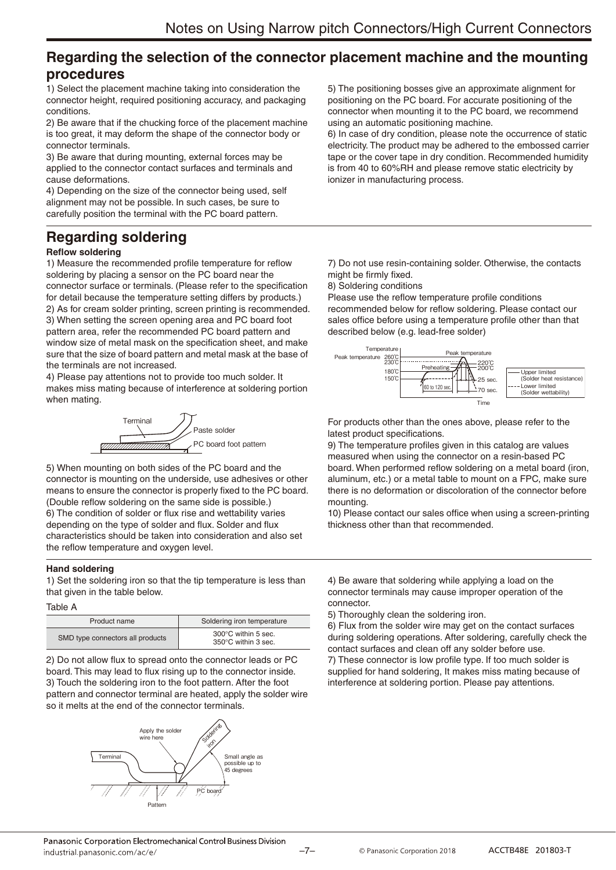### **Regarding the selection of the connector placement machine and the mounting procedures**

1) Select the placement machine taking into consideration the connector height, required positioning accuracy, and packaging conditions.

2) Be aware that if the chucking force of the placement machine is too great, it may deform the shape of the connector body or connector terminals.

3) Be aware that during mounting, external forces may be applied to the connector contact surfaces and terminals and cause deformations.

4) Depending on the size of the connector being used, self alignment may not be possible. In such cases, be sure to carefully position the terminal with the PC board pattern.

### **Regarding soldering**

### **Reflow soldering**

1) Measure the recommended profile temperature for reflow soldering by placing a sensor on the PC board near the connector surface or terminals. (Please refer to the specification for detail because the temperature setting differs by products.) 2) As for cream solder printing, screen printing is recommended. 3) When setting the screen opening area and PC board foot pattern area, refer the recommended PC board pattern and window size of metal mask on the specification sheet, and make sure that the size of board pattern and metal mask at the base of the terminals are not increased.

4) Please pay attentions not to provide too much solder. It makes miss mating because of interference at soldering portion when mating.



5) When mounting on both sides of the PC board and the connector is mounting on the underside, use adhesives or other means to ensure the connector is properly fixed to the PC board. (Double reflow soldering on the same side is possible.) 6) The condition of solder or flux rise and wettability varies depending on the type of solder and flux. Solder and flux characteristics should be taken into consideration and also set the reflow temperature and oxygen level.

### **Hand soldering**

1) Set the soldering iron so that the tip temperature is less than that given in the table below.

### Table A

| Product name                     | Soldering iron temperature                                     |
|----------------------------------|----------------------------------------------------------------|
| SMD type connectors all products | $300^{\circ}$ C within 5 sec.<br>$350^{\circ}$ C within 3 sec. |

2) Do not allow flux to spread onto the connector leads or PC board. This may lead to flux rising up to the connector inside. 3) Touch the soldering iron to the foot pattern. After the foot pattern and connector terminal are heated, apply the solder wire so it melts at the end of the connector terminals.



5) The positioning bosses give an approximate alignment for positioning on the PC board. For accurate positioning of the connector when mounting it to the PC board, we recommend using an automatic positioning machine.

6) In case of dry condition, please note the occurrence of static electricity. The product may be adhered to the embossed carrier tape or the cover tape in dry condition. Recommended humidity is from 40 to 60%RH and please remove static electricity by ionizer in manufacturing process.

7) Do not use resin-containing solder. Otherwise, the contacts might be firmly fixed.

8) Soldering conditions

Please use the reflow temperature profile conditions recommended below for reflow soldering. Please contact our sales office before using a temperature profile other than that described below (e.g. lead-free solder)



For products other than the ones above, please refer to the latest product specifications.

9) The temperature profiles given in this catalog are values measured when using the connector on a resin-based PC board. When performed reflow soldering on a metal board (iron, aluminum, etc.) or a metal table to mount on a FPC, make sure there is no deformation or discoloration of the connector before mounting.

10) Please contact our sales office when using a screen-printing thickness other than that recommended.

4) Be aware that soldering while applying a load on the connector terminals may cause improper operation of the connector.

5) Thoroughly clean the soldering iron.

6) Flux from the solder wire may get on the contact surfaces during soldering operations. After soldering, carefully check the contact surfaces and clean off any solder before use.

7) These connector is low profile type. If too much solder is supplied for hand soldering, It makes miss mating because of interference at soldering portion. Please pay attentions.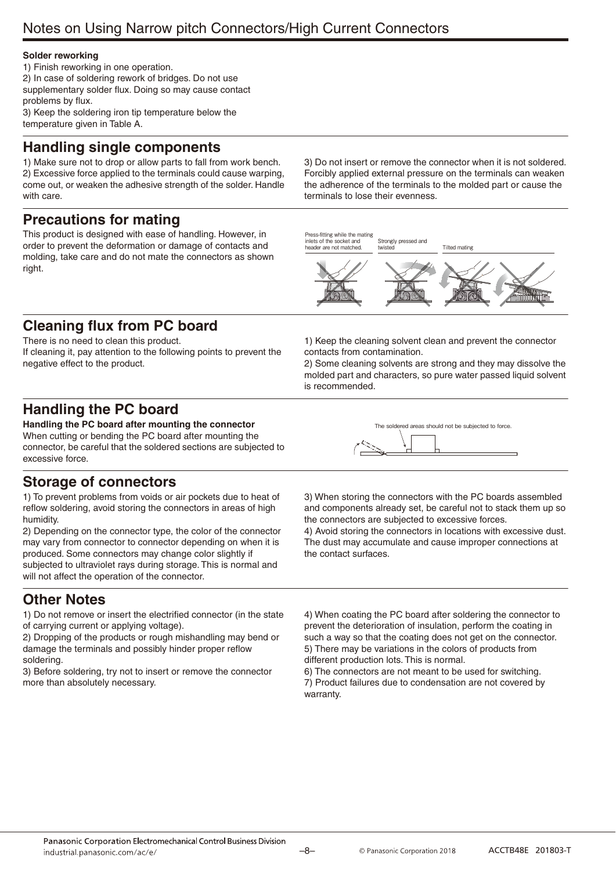### **Solder reworking**

1) Finish reworking in one operation.

2) In case of soldering rework of bridges. Do not use supplementary solder flux. Doing so may cause contact problems by flux.

3) Keep the soldering iron tip temperature below the temperature given in Table A.

### **Handling single components**

1) Make sure not to drop or allow parts to fall from work bench. 2) Excessive force applied to the terminals could cause warping, come out, or weaken the adhesive strength of the solder. Handle with care.

### **Precautions for mating**

This product is designed with ease of handling. However, in order to prevent the deformation or damage of contacts and molding, take care and do not mate the connectors as shown right.

3) Do not insert or remove the connector when it is not soldered. Forcibly applied external pressure on the terminals can weaken the adherence of the terminals to the molded part or cause the terminals to lose their evenness.

Press-fitting while the mating inlets of the socket and eader are not matched

Strongly pressed and rister



### **Cleaning flux from PC board**

There is no need to clean this product. If cleaning it, pay attention to the following points to prevent the negative effect to the product.

1) Keep the cleaning solvent clean and prevent the connector contacts from contamination.

2) Some cleaning solvents are strong and they may dissolve the molded part and characters, so pure water passed liquid solvent is recommended.

### **Handling the PC board**

**Handling the PC board after mounting the connector** When cutting or bending the PC board after mounting the connector, be careful that the soldered sections are subjected to excessive force.

### **Storage of connectors**

1) To prevent problems from voids or air pockets due to heat of reflow soldering, avoid storing the connectors in areas of high humidity.

2) Depending on the connector type, the color of the connector may vary from connector to connector depending on when it is produced. Some connectors may change color slightly if subjected to ultraviolet rays during storage. This is normal and will not affect the operation of the connector.

### **Other Notes**

1) Do not remove or insert the electrified connector (in the state of carrying current or applying voltage).

2) Dropping of the products or rough mishandling may bend or damage the terminals and possibly hinder proper reflow soldering.

3) Before soldering, try not to insert or remove the connector more than absolutely necessary.

| The soldered areas should not be subjected to force. |  |
|------------------------------------------------------|--|
|                                                      |  |

3) When storing the connectors with the PC boards assembled and components already set, be careful not to stack them up so the connectors are subjected to excessive forces.

4) Avoid storing the connectors in locations with excessive dust. The dust may accumulate and cause improper connections at the contact surfaces.

4) When coating the PC board after soldering the connector to prevent the deterioration of insulation, perform the coating in such a way so that the coating does not get on the connector. 5) There may be variations in the colors of products from different production lots. This is normal.

6) The connectors are not meant to be used for switching. 7) Product failures due to condensation are not covered by warranty.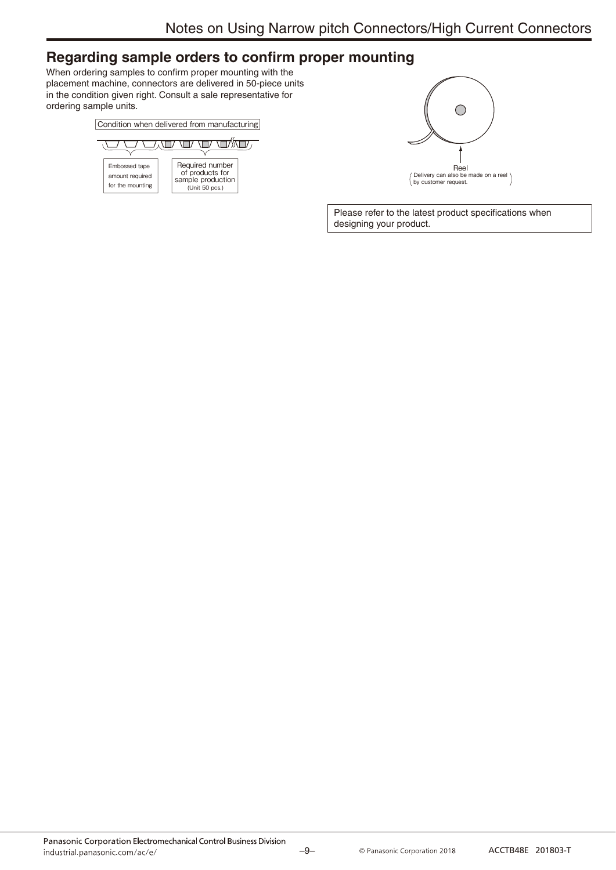### **Regarding sample orders to confirm proper mounting**

When ordering samples to confirm proper mounting with the placement machine, connectors are delivered in 50-piece units in the condition given right. Consult a sale representative for ordering sample units.





Please refer to the latest product specifications when designing your product.